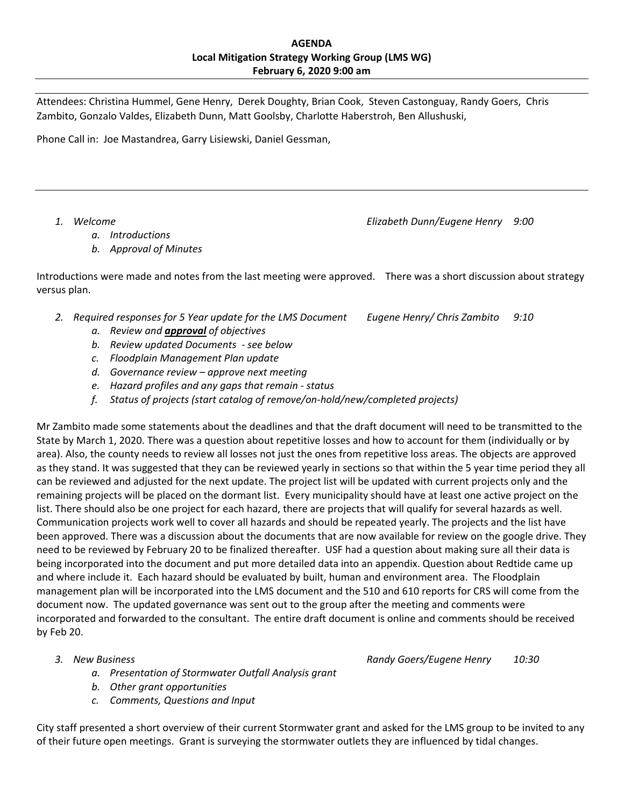Attendees: Christina Hummel, Gene Henry, Derek Doughty, Brian Cook, Steven Castonguay, Randy Goers, Chris Zambito, Gonzalo Valdes, Elizabeth Dunn, Matt Goolsby, Charlotte Haberstroh, Ben Allushuski,

Phone Call in: Joe Mastandrea, Garry Lisiewski, Daniel Gessman,

- *a. Introductions*
- *b. Approval of Minutes*

 Introductions were made and notes from the last meeting were approved. There was a short discussion about strategy versus plan.

- 2. Required responses for 5 Year update for the LMS Document Eugene Henry/ Chris Zambito 9:10
	- *a. Review and approval of objectives*
	- *b. Review updated Documents ‐ see below*
	- *c. Floodplain Management Plan update*
	- *d. Governance review – approve next meeting*
	- *e. Hazard profiles and any gaps that remain ‐ status*
	- *f. Status of projects (start catalog of remove/on‐hold/new/completed projects)*

 Mr Zambito made some statements about the deadlines and that the draft document will need to be transmitted to the State by March 1, 2020. There was a question about repetitive losses and how to account for them (individually or by area). Also, the county needs to review all losses not just the ones from repetitive loss areas. The objects are approved as they stand. It was suggested that they can be reviewed yearly in sections so that within the 5 year time period they all can be reviewed and adjusted for the next update. The project list will be updated with current projects only and the remaining projects will be placed on the dormant list. Every municipality should have at least one active project on the list. There should also be one project for each hazard, there are projects that will qualify for several hazards as well. Communication projects work well to cover all hazards and should be repeated yearly. The projects and the list have been approved. There was a discussion about the documents that are now available for review on the google drive. They need to be reviewed by February 20 to be finalized thereafter. USF had a question about making sure all their data is being incorporated into the document and put more detailed data into an appendix. Question about Redtide came up and where include it. Each hazard should be evaluated by built, human and environment area. The Floodplain management plan will be incorporated into the LMS document and the 510 and 610 reports for CRS will come from the document now. The updated governance was sent out to the group after the meeting and comments were incorporated and forwarded to the consultant. The entire draft document is online and comments should be received by Feb 20.

 *3. New Business Randy Goers/Eugene Henry 10:30*

- *a. Presentation of Stormwater Outfall Analysis grant*
- *b. Other grant opportunities*
- *c. Comments, Questions and Input*

 City staff presented a short overview of their current Stormwater grant and asked for the LMS group to be invited to any of their future open meetings. Grant is surveying the stormwater outlets they are influenced by tidal changes.

 *1. Welcome Elizabeth Dunn/Eugene Henry 9:00*